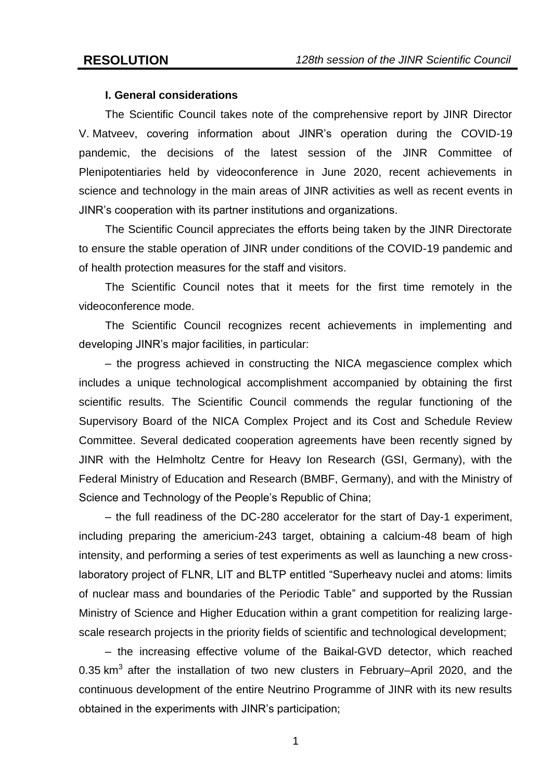# **I. General considerations**

The Scientific Council takes note of the comprehensive report by JINR Director V. Matveev, covering information about JINR's operation during the COVID-19 pandemic, the decisions of the latest session of the JINR Committee of Plenipotentiaries held by videoconference in June 2020, recent achievements in science and technology in the main areas of JINR activities as well as recent events in JINR's cooperation with its partner institutions and organizations.

The Scientific Council appreciates the efforts being taken by the JINR Directorate to ensure the stable operation of JINR under conditions of the COVID-19 pandemic and of health protection measures for the staff and visitors.

The Scientific Council notes that it meets for the first time remotely in the videoconference mode.

The Scientific Council recognizes recent achievements in implementing and developing JINR's major facilities, in particular:

– the progress achieved in constructing the NICA megascience complex which includes a unique technological accomplishment accompanied by obtaining the first scientific results. The Scientific Council commends the regular functioning of the Supervisory Board of the NICA Complex Project and its Cost and Schedule Review Committee. Several dedicated cooperation agreements have been recently signed by JINR with the Helmholtz Centre for Heavy Ion Research (GSI, Germany), with the Federal Ministry of Education and Research (BMBF, Germany), and with the Ministry of Science and Technology of the People's Republic of China;

– the full readiness of the DC-280 accelerator for the start of Day-1 experiment, including preparing the americium-243 target, obtaining a calcium-48 beam of high intensity, and performing a series of test experiments as well as launching a new crosslaboratory project of FLNR, LIT and BLTP entitled "Superheavy nuclei and atoms: limits of nuclear mass and boundaries of the Periodic Table" and supported by the Russian Ministry of Science and Higher Education within a grant competition for realizing largescale research projects in the priority fields of scientific and technological development;

– the increasing effective volume of the Baikal-GVD detector, which reached 0.35 km<sup>3</sup> after the installation of two new clusters in February–April 2020, and the continuous development of the entire Neutrino Programme of JINR with its new results obtained in the experiments with JINR's participation;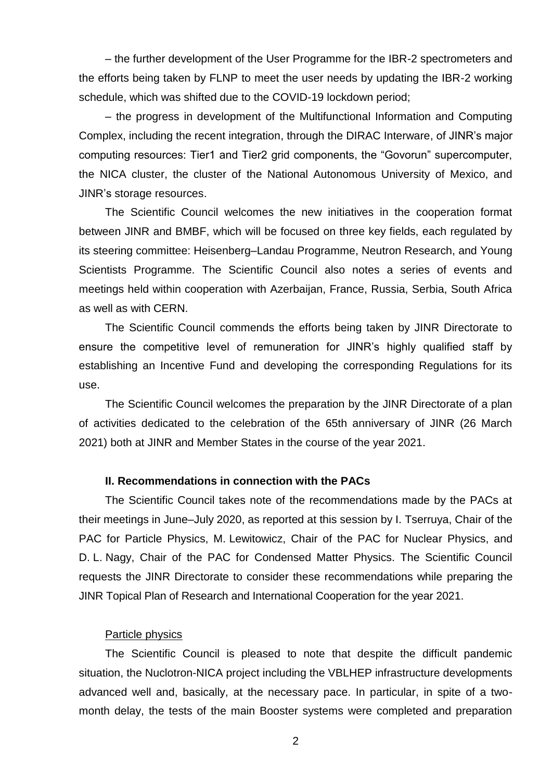– the further development of the User Programme for the IBR-2 spectrometers and the efforts being taken by FLNP to meet the user needs by updating the IBR-2 working schedule, which was shifted due to the COVID-19 lockdown period;

– the progress in development of the Multifunctional Information and Computing Complex, including the recent integration, through the DIRAC Interware, of JINR's major computing resources: Tier1 and Tier2 grid components, the "Govorun" supercomputer, the NICA cluster, the cluster of the National Autonomous University of Mexico, and JINR's storage resources.

The Scientific Council welcomes the new initiatives in the cooperation format between JINR and BMBF, which will be focused on three key fields, each regulated by its steering committee: Heisenberg–Landau Programme, Neutron Research, and Young Scientists Programme. The Scientific Council also notes a series of events and meetings held within cooperation with Azerbaijan, France, Russia, Serbia, South Africa as well as with CERN.

The Scientific Council commends the efforts being taken by JINR Directorate to ensure the competitive level of remuneration for JINR's highly qualified staff by establishing an Incentive Fund and developing the corresponding Regulations for its use.

The Scientific Council welcomes the preparation by the JINR Directorate of a plan of activities dedicated to the celebration of the 65th anniversary of JINR (26 March 2021) both at JINR and Member States in the course of the year 2021.

# **II. Recommendations in connection with the PACs**

The Scientific Council takes note of the recommendations made by the PACs at their meetings in June–July 2020, as reported at this session by I. Tserruya, Chair of the PAC for Particle Physics, M. Lewitowicz, Chair of the PAC for Nuclear Physics, and D. L. Nagy, Chair of the PAC for Condensed Matter Physics. The Scientific Council requests the JINR Directorate to consider these recommendations while preparing the JINR Topical Plan of Research and International Cooperation for the year 2021.

#### Particle physics

The Scientific Council is pleased to note that despite the difficult pandemic situation, the Nuclotron-NICA project including the VBLHEP infrastructure developments advanced well and, basically, at the necessary pace. In particular, in spite of a twomonth delay, the tests of the main Booster systems were completed and preparation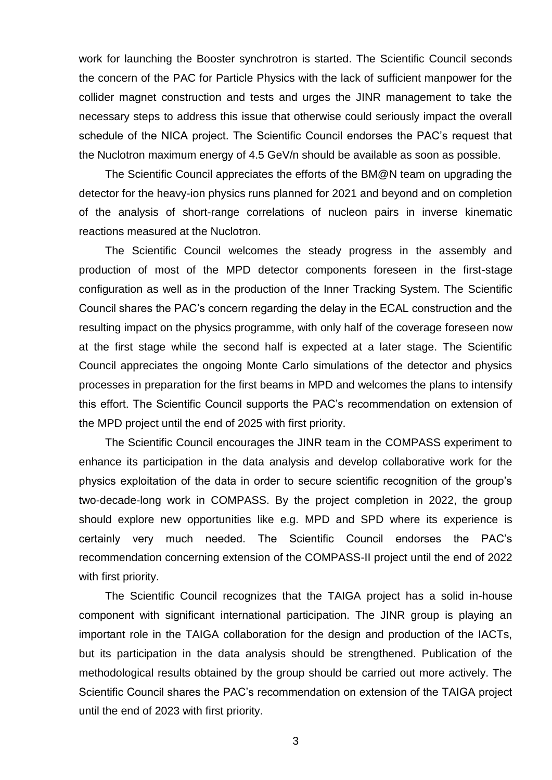work for launching the Booster synchrotron is started. The Scientific Council seconds the concern of the PAC for Particle Physics with the lack of sufficient manpower for the collider magnet construction and tests and urges the JINR management to take the necessary steps to address this issue that otherwise could seriously impact the overall schedule of the NICA project. The Scientific Council endorses the PAC's request that the Nuclotron maximum energy of 4.5 GeV/n should be available as soon as possible.

The Scientific Council appreciates the efforts of the BM@N team on upgrading the detector for the heavy-ion physics runs planned for 2021 and beyond and on completion of the analysis of short-range correlations of nucleon pairs in inverse kinematic reactions measured at the Nuclotron.

The Scientific Council welcomes the steady progress in the assembly and production of most of the MPD detector components foreseen in the first-stage configuration as well as in the production of the Inner Tracking System. The Scientific Council shares the PAC's concern regarding the delay in the ECAL construction and the resulting impact on the physics programme, with only half of the coverage foreseen now at the first stage while the second half is expected at a later stage. The Scientific Council appreciates the ongoing Monte Carlo simulations of the detector and physics processes in preparation for the first beams in MPD and welcomes the plans to intensify this effort. The Scientific Council supports the PAC's recommendation on extension of the MPD project until the end of 2025 with first priority.

The Scientific Council encourages the JINR team in the COMPASS experiment to enhance its participation in the data analysis and develop collaborative work for the physics exploitation of the data in order to secure scientific recognition of the group's two-decade-long work in COMPASS. By the project completion in 2022, the group should explore new opportunities like e.g. MPD and SPD where its experience is certainly very much needed. The Scientific Council endorses the PAC's recommendation concerning extension of the COMPASS-II project until the end of 2022 with first priority.

The Scientific Council recognizes that the TAIGA project has a solid in-house component with significant international participation. The JINR group is playing an important role in the TAIGA collaboration for the design and production of the IACTs, but its participation in the data analysis should be strengthened. Publication of the methodological results obtained by the group should be carried out more actively. The Scientific Council shares the PAC's recommendation on extension of the TAIGA project until the end of 2023 with first priority.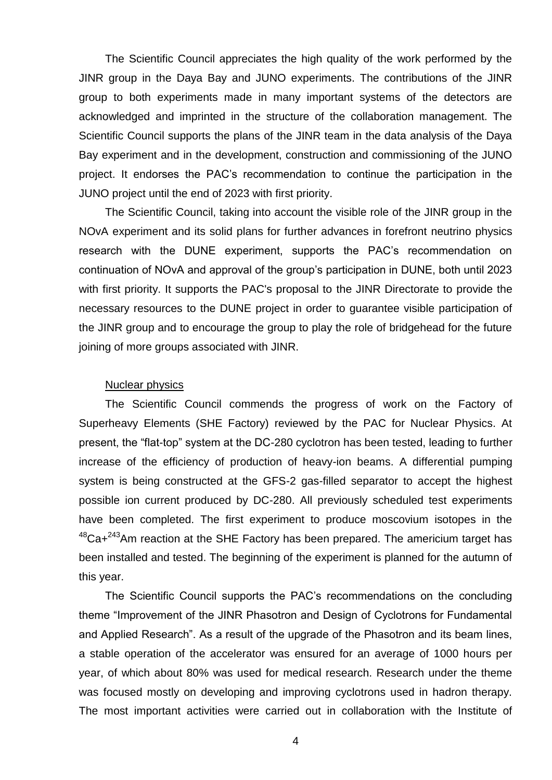The Scientific Council appreciates the high quality of the work performed by the JINR group in the Daya Bay and JUNO experiments. The contributions of the JINR group to both experiments made in many important systems of the detectors are acknowledged and imprinted in the structure of the collaboration management. The Scientific Council supports the plans of the JINR team in the data analysis of the Daya Bay experiment and in the development, construction and commissioning of the JUNO project. It endorses the PAC's recommendation to continue the participation in the JUNO project until the end of 2023 with first priority.

The Scientific Council, taking into account the visible role of the JINR group in the NOvA experiment and its solid plans for further advances in forefront neutrino physics research with the DUNE experiment, supports the PAC's recommendation on continuation of NOvA and approval of the group's participation in DUNE, both until 2023 with first priority. It supports the PAC's proposal to the JINR Directorate to provide the necessary resources to the DUNE project in order to guarantee visible participation of the JINR group and to encourage the group to play the role of bridgehead for the future joining of more groups associated with JINR.

#### Nuclear physics

The Scientific Council commends the progress of work on the Factory of Superheavy Elements (SHE Factory) reviewed by the PAC for Nuclear Physics. At present, the "flat-top" system at the DC-280 cyclotron has been tested, leading to further increase of the efficiency of production of heavy-ion beams. A differential pumping system is being constructed at the GFS-2 gas-filled separator to accept the highest possible ion current produced by DC-280. All previously scheduled test experiments have been completed. The first experiment to produce moscovium isotopes in the  $48$ Ca+ $243$ Am reaction at the SHE Factory has been prepared. The americium target has been installed and tested. The beginning of the experiment is planned for the autumn of this year.

The Scientific Council supports the PAC's recommendations on the concluding theme "Improvement of the JINR Phasotron and Design of Cyclotrons for Fundamental and Applied Research". As a result of the upgrade of the Phasotron and its beam lines, a stable operation of the accelerator was ensured for an average of 1000 hours per year, of which about 80% was used for medical research. Research under the theme was focused mostly on developing and improving cyclotrons used in hadron therapy. The most important activities were carried out in collaboration with the Institute of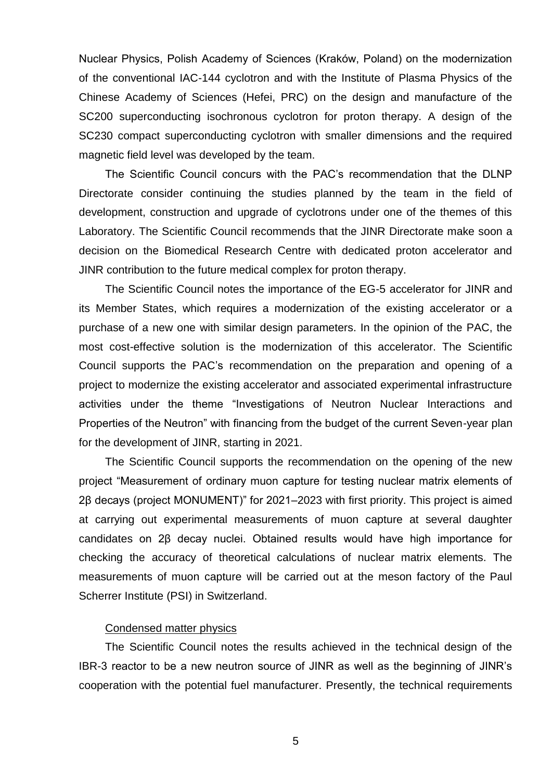Nuclear Physics, Polish Academy of Sciences (Kraków, Poland) on the modernization of the conventional IAC-144 cyclotron and with the Institute of Plasma Physics of the Chinese Academy of Sciences (Hefei, PRC) on the design and manufacture of the SC200 superconducting isochronous cyclotron for proton therapy. A design of the SC230 compact superconducting cyclotron with smaller dimensions and the required magnetic field level was developed by the team.

The Scientific Council concurs with the PAC's recommendation that the DLNP Directorate consider continuing the studies planned by the team in the field of development, construction and upgrade of cyclotrons under one of the themes of this Laboratory. The Scientific Council recommends that the JINR Directorate make soon a decision on the Biomedical Research Centre with dedicated proton accelerator and JINR contribution to the future medical complex for proton therapy.

The Scientific Council notes the importance of the EG-5 accelerator for JINR and its Member States, which requires a modernization of the existing accelerator or a purchase of a new one with similar design parameters. In the opinion of the PAC, the most cost-effective solution is the modernization of this accelerator. The Scientific Council supports the PAC's recommendation on the preparation and opening of a project to modernize the existing accelerator and associated experimental infrastructure activities under the theme "Investigations of Neutron Nuclear Interactions and Properties of the Neutron" with financing from the budget of the current Seven-year plan for the development of JINR, starting in 2021.

The Scientific Council supports the recommendation on the opening of the new project "Measurement of ordinary muon capture for testing nuclear matrix elements of 2β decays (project MONUMENT)" for 2021–2023 with first priority. This project is aimed at carrying out experimental measurements of muon capture at several daughter candidates on 2β decay nuclei. Obtained results would have high importance for checking the accuracy of theoretical calculations of nuclear matrix elements. The measurements of muon capture will be carried out at the meson factory of the Paul Scherrer Institute (PSI) in Switzerland.

## Condensed matter physics

The Scientific Council notes the results achieved in the technical design of the IBR-3 reactor to be a new neutron source of JINR as well as the beginning of JINR's cooperation with the potential fuel manufacturer. Presently, the technical requirements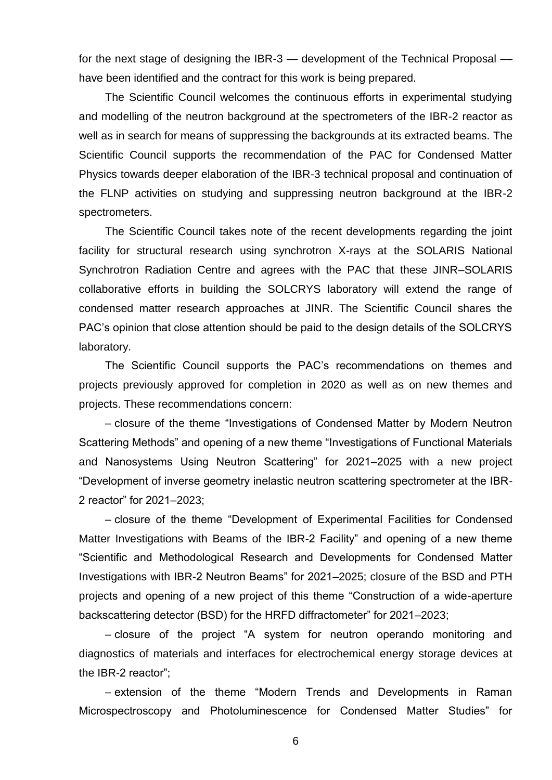for the next stage of designing the IBR-3 — development of the Technical Proposal –– have been identified and the contract for this work is being prepared.

The Scientific Council welcomes the continuous efforts in experimental studying and modelling of the neutron background at the spectrometers of the IBR-2 reactor as well as in search for means of suppressing the backgrounds at its extracted beams. The Scientific Council supports the recommendation of the PAC for Condensed Matter Physics towards deeper elaboration of the IBR-3 technical proposal and continuation of the FLNP activities on studying and suppressing neutron background at the IBR-2 spectrometers.

The Scientific Council takes note of the recent developments regarding the joint facility for structural research using synchrotron X-rays at the SOLARIS National Synchrotron Radiation Centre and agrees with the PAC that these JINR–SOLARIS collaborative efforts in building the SOLCRYS laboratory will extend the range of condensed matter research approaches at JINR. The Scientific Council shares the PAC's opinion that close attention should be paid to the design details of the SOLCRYS laboratory.

The Scientific Council supports the PAC's recommendations on themes and projects previously approved for completion in 2020 as well as on new themes and projects. These recommendations concern:

– closure of the theme "Investigations of Condensed Matter by Modern Neutron Scattering Methods" and opening of a new theme "Investigations of Functional Materials and Nanosystems Using Neutron Scattering" for 2021–2025 with a new project "Development of inverse geometry inelastic neutron scattering spectrometer at the IBR-2 reactor" for 2021–2023;

– closure of the theme "Development of Experimental Facilities for Condensed Matter Investigations with Beams of the IBR-2 Facility" and opening of a new theme "Scientific and Methodological Research and Developments for Condensed Matter Investigations with IBR-2 Neutron Beams" for 2021–2025; closure of the BSD and PTH projects and opening of a new project of this theme "Construction of a wide-aperture backscattering detector (BSD) for the HRFD diffractometer" for 2021–2023;

– closure of the project "A system for neutron operando monitoring and diagnostics of materials and interfaces for electrochemical energy storage devices at the IBR-2 reactor";

– extension of the theme "Modern Trends and Developments in Raman Microspectroscopy and Photoluminescence for Condensed Matter Studies" for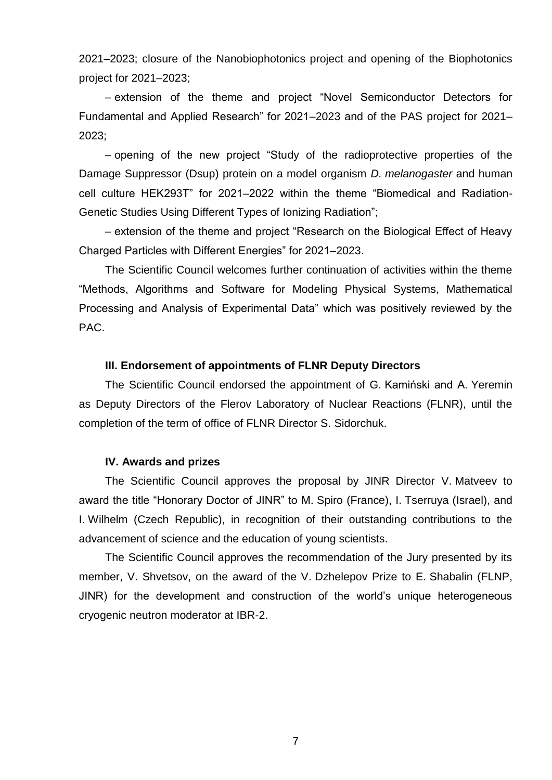2021–2023; closure of the Nanobiophotonics project and opening of the Biophotonics project for 2021–2023;

– extension of the theme and project "Novel Semiconductor Detectors for Fundamental and Applied Research" for 2021–2023 and of the PAS project for 2021– 2023;

– opening of the new project "Study of the radioprotective properties of the Damage Suppressor (Dsup) protein on a model organism *D. melanogaster* and human cell culture HEK293T" for 2021–2022 within the theme "Biomedical and Radiation-Genetic Studies Using Different Types of Ionizing Radiation";

– extension of the theme and project "Research on the Biological Effect of Heavy Charged Particles with Different Energies" for 2021–2023.

The Scientific Council welcomes further continuation of activities within the theme "Methods, Algorithms and Software for Modeling Physical Systems, Mathematical Processing and Analysis of Experimental Data" which was positively reviewed by the PAC.

## **III. Endorsement of appointments of FLNR Deputy Directors**

The Scientific Council endorsed the appointment of G. Kamiński and A. Yeremin as Deputy Directors of the Flerov Laboratory of Nuclear Reactions (FLNR), until the completion of the term of office of FLNR Director S. Sidorchuk.

# **IV. Awards and prizes**

The Scientific Council approves the proposal by JINR Director V. Matveev to award the title "Honorary Doctor of JINR" to M. Spiro (France), I. Tserruya (Israel), and I. Wilhelm (Czech Republic), in recognition of their outstanding contributions to the advancement of science and the education of young scientists.

The Scientific Council approves the recommendation of the Jury presented by its member, V. Shvetsov, on the award of the V. Dzhelepov Prize to E. Shabalin (FLNP, JINR) for the development and construction of the world's unique heterogeneous cryogenic neutron moderator at IBR-2.